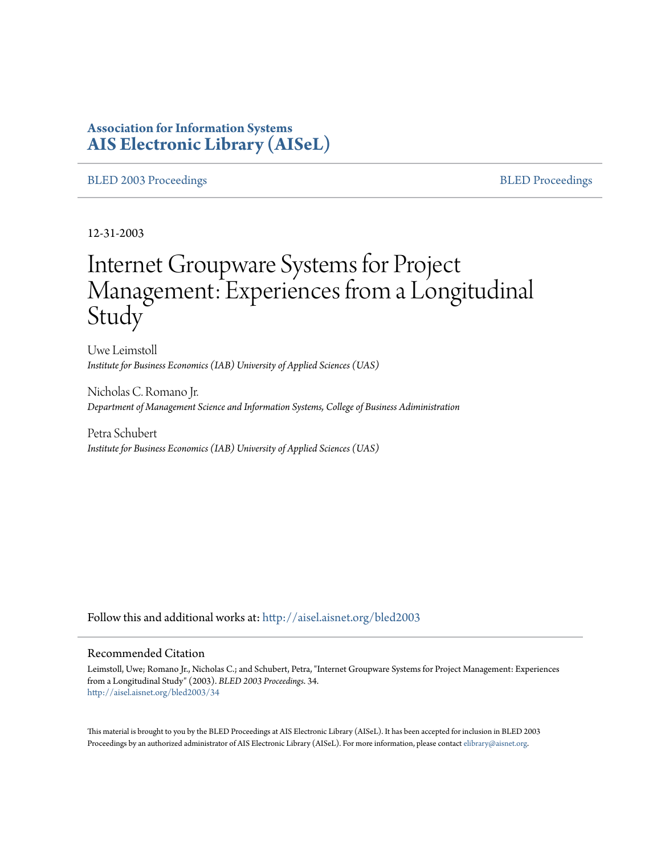# **Association for Information Systems [AIS Electronic Library \(AISeL\)](http://aisel.aisnet.org?utm_source=aisel.aisnet.org%2Fbled2003%2F34&utm_medium=PDF&utm_campaign=PDFCoverPages)**

#### [BLED 2003 Proceedings](http://aisel.aisnet.org/bled2003?utm_source=aisel.aisnet.org%2Fbled2003%2F34&utm_medium=PDF&utm_campaign=PDFCoverPages) and the state of the state of the [BLED Proceedings](http://aisel.aisnet.org/bled?utm_source=aisel.aisnet.org%2Fbled2003%2F34&utm_medium=PDF&utm_campaign=PDFCoverPages) and the BLED Proceedings and the BLED Proceedings and the BLED Proceedings and the BLED Proceedings and the BLED Proceedings and the BLED Proceedings

12-31-2003

# Internet Groupware Systems for Project Management: Experiences from a Longitudinal **Study**

Uwe Leimstoll *Institute for Business Economics (IAB) University of Applied Sciences (UAS)*

Nicholas C. Romano Jr. *Department of Management Science and Information Systems, College of Business Adiministration*

Petra Schubert *Institute for Business Economics (IAB) University of Applied Sciences (UAS)*

Follow this and additional works at: [http://aisel.aisnet.org/bled2003](http://aisel.aisnet.org/bled2003?utm_source=aisel.aisnet.org%2Fbled2003%2F34&utm_medium=PDF&utm_campaign=PDFCoverPages)

#### Recommended Citation

Leimstoll, Uwe; Romano Jr., Nicholas C.; and Schubert, Petra, "Internet Groupware Systems for Project Management: Experiences from a Longitudinal Study" (2003). *BLED 2003 Proceedings*. 34. [http://aisel.aisnet.org/bled2003/34](http://aisel.aisnet.org/bled2003/34?utm_source=aisel.aisnet.org%2Fbled2003%2F34&utm_medium=PDF&utm_campaign=PDFCoverPages)

This material is brought to you by the BLED Proceedings at AIS Electronic Library (AISeL). It has been accepted for inclusion in BLED 2003 Proceedings by an authorized administrator of AIS Electronic Library (AISeL). For more information, please contact [elibrary@aisnet.org](mailto:elibrary@aisnet.org%3E).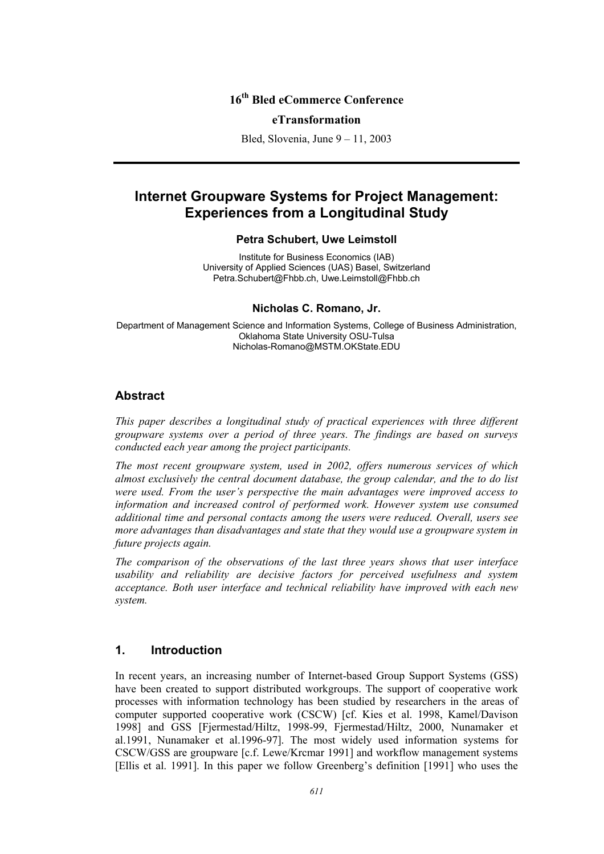# **16th Bled eCommerce Conference**

#### **eTransformation**

Bled, Slovenia, June 9 – 11, 2003

# **Internet Groupware Systems for Project Management: Experiences from a Longitudinal Study**

#### **Petra Schubert, Uwe Leimstoll**

Institute for Business Economics (IAB) University of Applied Sciences (UAS) Basel, Switzerland Petra.Schubert@Fhbb.ch, Uwe.Leimstoll@Fhbb.ch

#### **Nicholas C. Romano, Jr.**

Department of Management Science and Information Systems, College of Business Administration, Oklahoma State University OSU-Tulsa Nicholas-Romano@MSTM.OKState.EDU

# **Abstract**

*This paper describes a longitudinal study of practical experiences with three different groupware systems over a period of three years. The findings are based on surveys conducted each year among the project participants.* 

*The most recent groupware system, used in 2002, offers numerous services of which almost exclusively the central document database, the group calendar, and the to do list were used. From the user's perspective the main advantages were improved access to*  information and increased control of performed work. However system use consumed *additional time and personal contacts among the users were reduced. Overall, users see more advantages than disadvantages and state that they would use a groupware system in future projects again.* 

*The comparison of the observations of the last three years shows that user interface usability and reliability are decisive factors for perceived usefulness and system acceptance. Both user interface and technical reliability have improved with each new system.* 

# **1. Introduction**

In recent years, an increasing number of Internet-based Group Support Systems (GSS) have been created to support distributed workgroups. The support of cooperative work processes with information technology has been studied by researchers in the areas of computer supported cooperative work (CSCW) [cf. Kies et al. 1998, Kamel/Davison 1998] and GSS [Fjermestad/Hiltz, 1998-99, Fjermestad/Hiltz, 2000, Nunamaker et al.1991, Nunamaker et al.1996-97]. The most widely used information systems for CSCW/GSS are groupware [c.f. Lewe/Krcmar 1991] and workflow management systems [Ellis et al. 1991]. In this paper we follow Greenberg's definition [1991] who uses the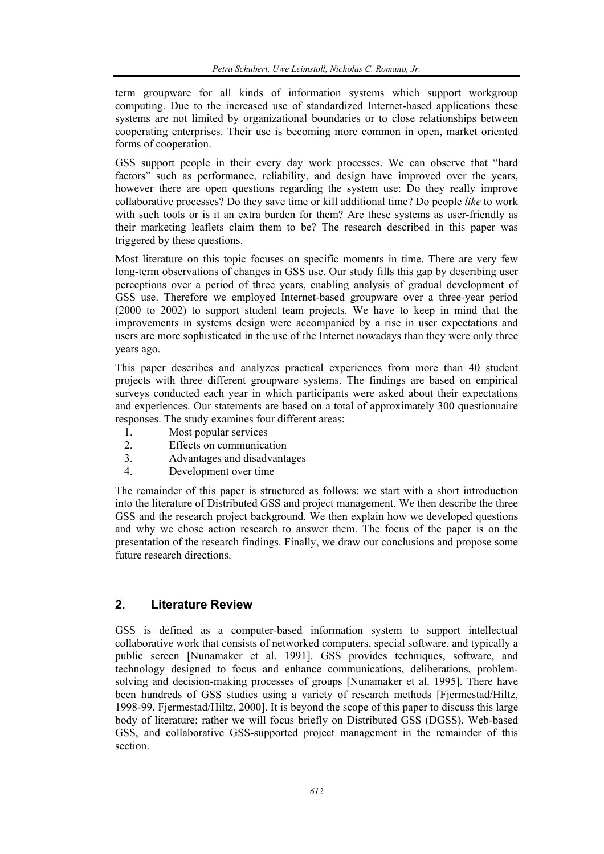term groupware for all kinds of information systems which support workgroup computing. Due to the increased use of standardized Internet-based applications these systems are not limited by organizational boundaries or to close relationships between cooperating enterprises. Their use is becoming more common in open, market oriented forms of cooperation.

GSS support people in their every day work processes. We can observe that "hard factors" such as performance, reliability, and design have improved over the years, however there are open questions regarding the system use: Do they really improve collaborative processes? Do they save time or kill additional time? Do people *like* to work with such tools or is it an extra burden for them? Are these systems as user-friendly as their marketing leaflets claim them to be? The research described in this paper was triggered by these questions.

Most literature on this topic focuses on specific moments in time. There are very few long-term observations of changes in GSS use. Our study fills this gap by describing user perceptions over a period of three years, enabling analysis of gradual development of GSS use. Therefore we employed Internet-based groupware over a three-year period (2000 to 2002) to support student team projects. We have to keep in mind that the improvements in systems design were accompanied by a rise in user expectations and users are more sophisticated in the use of the Internet nowadays than they were only three years ago.

This paper describes and analyzes practical experiences from more than 40 student projects with three different groupware systems. The findings are based on empirical surveys conducted each year in which participants were asked about their expectations and experiences. Our statements are based on a total of approximately 300 questionnaire responses. The study examines four different areas:

- 1. Most popular services
- 2. Effects on communication
- 3. Advantages and disadvantages
- 4. Development over time

The remainder of this paper is structured as follows: we start with a short introduction into the literature of Distributed GSS and project management. We then describe the three GSS and the research project background. We then explain how we developed questions and why we chose action research to answer them. The focus of the paper is on the presentation of the research findings. Finally, we draw our conclusions and propose some future research directions.

# **2. Literature Review**

GSS is defined as a computer-based information system to support intellectual collaborative work that consists of networked computers, special software, and typically a public screen [Nunamaker et al. 1991]. GSS provides techniques, software, and technology designed to focus and enhance communications, deliberations, problemsolving and decision-making processes of groups [Nunamaker et al. 1995]. There have been hundreds of GSS studies using a variety of research methods [Fjermestad/Hiltz, 1998-99, Fjermestad/Hiltz, 2000]. It is beyond the scope of this paper to discuss this large body of literature; rather we will focus briefly on Distributed GSS (DGSS), Web-based GSS, and collaborative GSS-supported project management in the remainder of this section.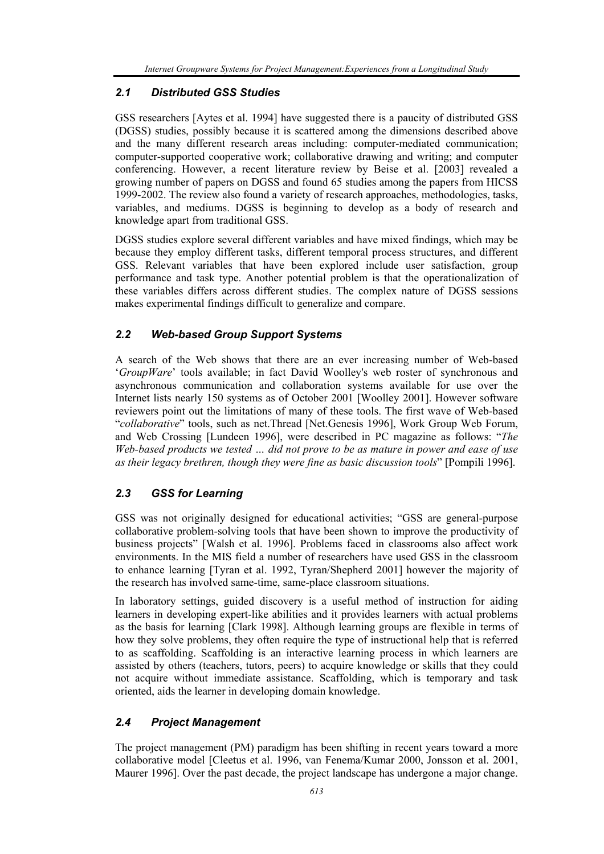# *2.1 Distributed GSS Studies*

GSS researchers [Aytes et al. 1994] have suggested there is a paucity of distributed GSS (DGSS) studies, possibly because it is scattered among the dimensions described above and the many different research areas including: computer-mediated communication; computer-supported cooperative work; collaborative drawing and writing; and computer conferencing. However, a recent literature review by Beise et al. [2003] revealed a growing number of papers on DGSS and found 65 studies among the papers from HICSS 1999-2002. The review also found a variety of research approaches, methodologies, tasks, variables, and mediums. DGSS is beginning to develop as a body of research and knowledge apart from traditional GSS.

DGSS studies explore several different variables and have mixed findings, which may be because they employ different tasks, different temporal process structures, and different GSS. Relevant variables that have been explored include user satisfaction, group performance and task type. Another potential problem is that the operationalization of these variables differs across different studies. The complex nature of DGSS sessions makes experimental findings difficult to generalize and compare.

# *2.2 Web-based Group Support Systems*

A search of the Web shows that there are an ever increasing number of Web-based '*GroupWare*' tools available; in fact David Woolley's web roster of synchronous and asynchronous communication and collaboration systems available for use over the Internet lists nearly 150 systems as of October 2001 [Woolley 2001]. However software reviewers point out the limitations of many of these tools. The first wave of Web-based "*collaborative*" tools, such as net.Thread [Net.Genesis 1996], Work Group Web Forum, and Web Crossing [Lundeen 1996], were described in PC magazine as follows: "*The Web-based products we tested … did not prove to be as mature in power and ease of use as their legacy brethren, though they were fine as basic discussion tools*" [Pompili 1996].

# *2.3 GSS for Learning*

GSS was not originally designed for educational activities; "GSS are general-purpose collaborative problem-solving tools that have been shown to improve the productivity of business projects" [Walsh et al. 1996]. Problems faced in classrooms also affect work environments. In the MIS field a number of researchers have used GSS in the classroom to enhance learning [Tyran et al. 1992, Tyran/Shepherd 2001] however the majority of the research has involved same-time, same-place classroom situations.

In laboratory settings, guided discovery is a useful method of instruction for aiding learners in developing expert-like abilities and it provides learners with actual problems as the basis for learning [Clark 1998]. Although learning groups are flexible in terms of how they solve problems, they often require the type of instructional help that is referred to as scaffolding. Scaffolding is an interactive learning process in which learners are assisted by others (teachers, tutors, peers) to acquire knowledge or skills that they could not acquire without immediate assistance. Scaffolding, which is temporary and task oriented, aids the learner in developing domain knowledge.

# *2.4 Project Management*

The project management (PM) paradigm has been shifting in recent years toward a more collaborative model [Cleetus et al. 1996, van Fenema/Kumar 2000, Jonsson et al. 2001, Maurer 1996]. Over the past decade, the project landscape has undergone a major change.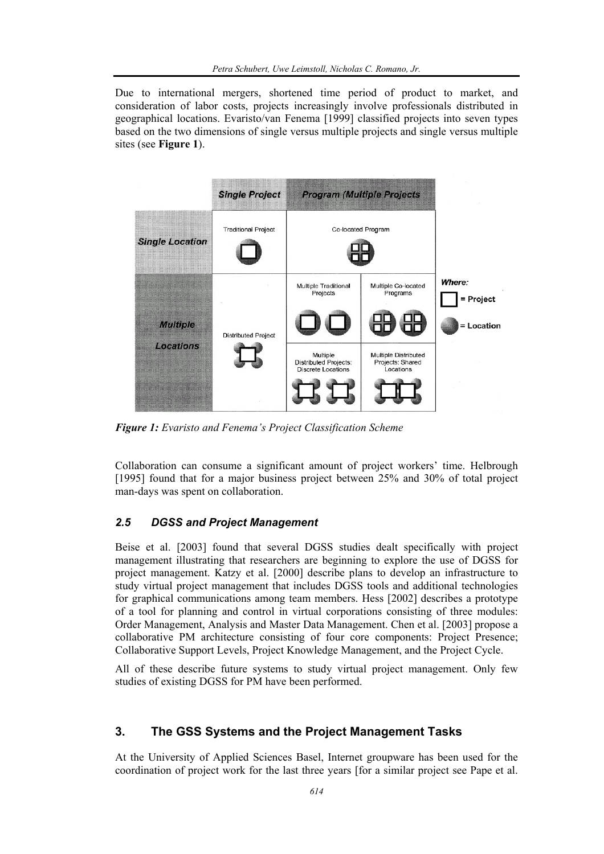Due to international mergers, shortened time period of product to market, and consideration of labor costs, projects increasingly involve professionals distributed in geographical locations. Evaristo/van Fenema [1999] classified projects into seven types based on the two dimensions of single versus multiple projects and single versus multiple sites (see **Figure 1**).



*Figure 1: Evaristo and Fenema's Project Classification Scheme* 

Collaboration can consume a significant amount of project workers' time. Helbrough [1995] found that for a major business project between 25% and 30% of total project man-days was spent on collaboration.

#### *2.5 DGSS and Project Management*

Beise et al. [2003] found that several DGSS studies dealt specifically with project management illustrating that researchers are beginning to explore the use of DGSS for project management. Katzy et al. [2000] describe plans to develop an infrastructure to study virtual project management that includes DGSS tools and additional technologies for graphical communications among team members. Hess [2002] describes a prototype of a tool for planning and control in virtual corporations consisting of three modules: Order Management, Analysis and Master Data Management. Chen et al. [2003] propose a collaborative PM architecture consisting of four core components: Project Presence; Collaborative Support Levels, Project Knowledge Management, and the Project Cycle.

All of these describe future systems to study virtual project management. Only few studies of existing DGSS for PM have been performed.

#### **3. The GSS Systems and the Project Management Tasks**

At the University of Applied Sciences Basel, Internet groupware has been used for the coordination of project work for the last three years [for a similar project see Pape et al.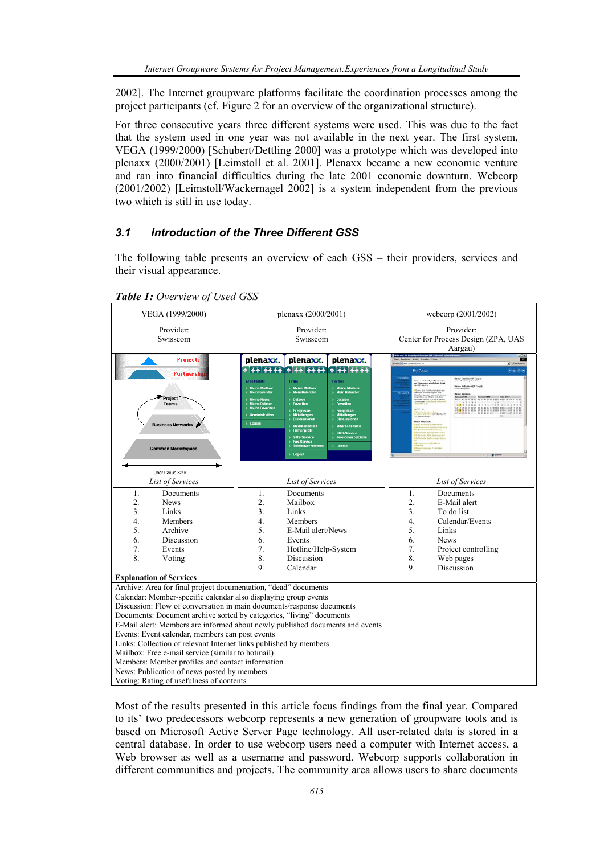2002]. The Internet groupware platforms facilitate the coordination processes among the project participants (cf. Figure 2 for an overview of the organizational structure).

For three consecutive years three different systems were used. This was due to the fact that the system used in one year was not available in the next year. The first system, VEGA (1999/2000) [Schubert/Dettling 2000] was a prototype which was developed into plenaxx (2000/2001) [Leimstoll et al. 2001]. Plenaxx became a new economic venture and ran into financial difficulties during the late 2001 economic downturn. Webcorp (2001/2002) [Leimstoll/Wackernagel 2002] is a system independent from the previous two which is still in use today.

#### *3.1 Introduction of the Three Different GSS*

The following table presents an overview of each GSS – their providers, services and their visual appearance.

⊤

٦

| VEGA (1999/2000)                                                                                                                                                                                                                                                                                                                                                                                                                                                                                                                       | plenaxx (2000/2001)                                                                                                                                                                                                                                                                                                                                                                                                                                                                                                                                                                                                                                                                                                                | webcorp (2001/2002)                                                                                                                                                                                                                                                                                                                        |
|----------------------------------------------------------------------------------------------------------------------------------------------------------------------------------------------------------------------------------------------------------------------------------------------------------------------------------------------------------------------------------------------------------------------------------------------------------------------------------------------------------------------------------------|------------------------------------------------------------------------------------------------------------------------------------------------------------------------------------------------------------------------------------------------------------------------------------------------------------------------------------------------------------------------------------------------------------------------------------------------------------------------------------------------------------------------------------------------------------------------------------------------------------------------------------------------------------------------------------------------------------------------------------|--------------------------------------------------------------------------------------------------------------------------------------------------------------------------------------------------------------------------------------------------------------------------------------------------------------------------------------------|
| Provider:<br>Swisscom                                                                                                                                                                                                                                                                                                                                                                                                                                                                                                                  | Provider:<br>Swisscom                                                                                                                                                                                                                                                                                                                                                                                                                                                                                                                                                                                                                                                                                                              | Provider:<br>Center for Process Design (ZPA, UAS<br>Aargau)                                                                                                                                                                                                                                                                                |
| <b>Projects</b><br><b>Partnership</b><br>Project<br><b>Teams</b><br><b>Business Networks</b><br><b>Common Marketspace</b><br>User Group Size                                                                                                                                                                                                                                                                                                                                                                                           | plenaxx.<br>plenaxx.<br>plenaxx.<br><b>beitsplatz</b><br>Firma<br>Partner<br><b>Meine Mailbox</b><br><b>Meine Mailbox</b><br><b>Meine Mailbox</b><br><b>Mein Kalender</b><br><b>Mein Kalender</b><br><b>Mein Kalender</b><br><b><i><u>Meine</u></i></b> News<br>> Dateien<br>Dateien<br>Favoriten<br><b>Meine Dateier</b><br>Favoriten<br><b>Meine Favoriten</b><br><b>Ereignisse</b><br>Ereignisse<br><b>Administration</b><br>Mitteilungen<br>Mitteilungen<br>Diskussionen<br>Diskussionen<br>> Logout<br><b>Mitarbeiterliste</b><br><b>Mitarbeiterliste</b><br><b>Firmenorofil</b><br><b>SMS-Service</b><br><b>SMS-Service</b><br>Teleforwerzeichnis<br><b>Fax-Service</b><br>> Telefonverzeichnis<br>> Logout<br><b>Logout</b> | $\mathbb{R}^2$<br>My Desk<br>田田田<br>markin<br>Messa Termine (7 Fage)<br>Faile Termin proclas<br>tra hchultert, militammen<br>Filienm personhi hen best<br>- Mohamm<br>Nesse Aufgaben (7 Tage)<br>Intra Aufgaben<br><b>Maine Agenda</b><br>.<br>AN AN OR ON THE REAL FAILURE OF THE REAL PART OF THE REAL<br><b>CHECKER</b><br>or Procedule |
| <b>List of Services</b>                                                                                                                                                                                                                                                                                                                                                                                                                                                                                                                | <b>List of Services</b>                                                                                                                                                                                                                                                                                                                                                                                                                                                                                                                                                                                                                                                                                                            | List of Services                                                                                                                                                                                                                                                                                                                           |
| Documents<br>1.<br>$\overline{2}$ .<br>News<br>$\overline{3}$ .<br>Links<br>$\overline{4}$ .<br>Members<br>5.<br>Archive<br>6.<br>Discussion<br>7.<br>Events<br>8.<br>Voting                                                                                                                                                                                                                                                                                                                                                           | Documents<br>1.<br>$\overline{2}$ .<br>Mailbox<br>3.<br>Links<br>4.<br>Members<br>5.<br>E-Mail alert/News<br>6.<br>Events<br>7.<br>Hotline/Help-System<br>8.<br>Discussion<br>9.<br>Calendar                                                                                                                                                                                                                                                                                                                                                                                                                                                                                                                                       | Documents<br>1.<br>$\overline{2}$ .<br>E-Mail alert<br>3.<br>To do list<br>$\overline{4}$ .<br>Calendar/Events<br>5.<br>Links<br>6.<br><b>News</b><br>7.<br>Project controlling<br>8.<br>Web pages<br>9<br>Discussion                                                                                                                      |
| <b>Explanation of Services</b>                                                                                                                                                                                                                                                                                                                                                                                                                                                                                                         |                                                                                                                                                                                                                                                                                                                                                                                                                                                                                                                                                                                                                                                                                                                                    |                                                                                                                                                                                                                                                                                                                                            |
| Archive: Area for final project documentation, "dead" documents<br>Calendar: Member-specific calendar also displaying group events<br>Documents: Document archive sorted by categories, "living" documents<br>Events: Event calendar, members can post events<br>Links: Collection of relevant Internet links published by members<br>Mailbox: Free e-mail service (similar to hotmail)<br>Members: Member profiles and contact information<br>News: Publication of news posted by members<br>Voting: Rating of usefulness of contents | Discussion: Flow of conversation in main documents/response documents<br>E-Mail alert: Members are informed about newly published documents and events                                                                                                                                                                                                                                                                                                                                                                                                                                                                                                                                                                             |                                                                                                                                                                                                                                                                                                                                            |

*Table 1: Overview of Used GSS* 

Most of the results presented in this article focus findings from the final year. Compared to its' two predecessors webcorp represents a new generation of groupware tools and is based on Microsoft Active Server Page technology. All user-related data is stored in a central database. In order to use webcorp users need a computer with Internet access, a Web browser as well as a username and password. Webcorp supports collaboration in different communities and projects. The community area allows users to share documents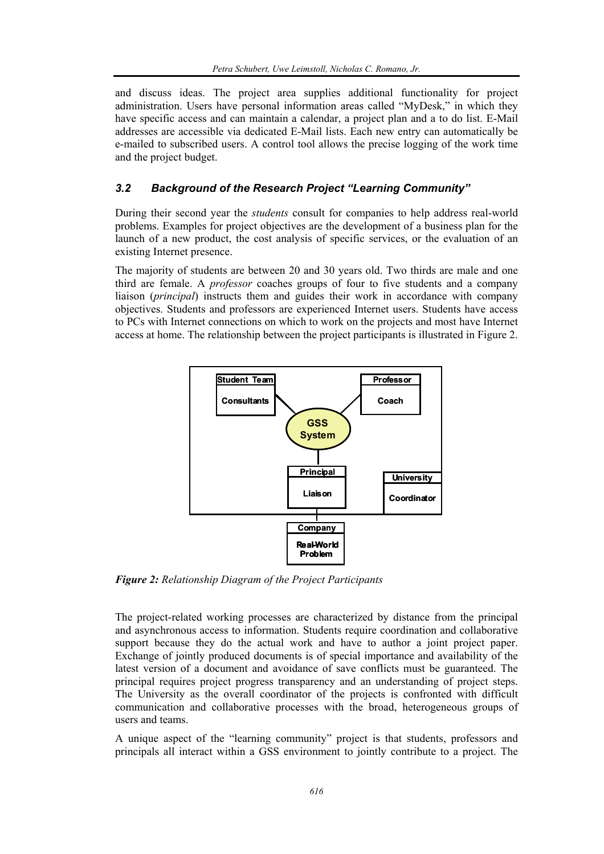and discuss ideas. The project area supplies additional functionality for project administration. Users have personal information areas called "MyDesk," in which they have specific access and can maintain a calendar, a project plan and a to do list. E-Mail addresses are accessible via dedicated E-Mail lists. Each new entry can automatically be e-mailed to subscribed users. A control tool allows the precise logging of the work time and the project budget.

# *3.2 Background of the Research Project "Learning Community"*

During their second year the *students* consult for companies to help address real-world problems. Examples for project objectives are the development of a business plan for the launch of a new product, the cost analysis of specific services, or the evaluation of an existing Internet presence.

The majority of students are between 20 and 30 years old. Two thirds are male and one third are female. A *professor* coaches groups of four to five students and a company liaison (*principal*) instructs them and guides their work in accordance with company objectives. Students and professors are experienced Internet users. Students have access to PCs with Internet connections on which to work on the projects and most have Internet access at home. The relationship between the project participants is illustrated in Figure 2.



*Figure 2: Relationship Diagram of the Project Participants* 

The project-related working processes are characterized by distance from the principal and asynchronous access to information. Students require coordination and collaborative support because they do the actual work and have to author a joint project paper. Exchange of jointly produced documents is of special importance and availability of the latest version of a document and avoidance of save conflicts must be guaranteed. The principal requires project progress transparency and an understanding of project steps. The University as the overall coordinator of the projects is confronted with difficult communication and collaborative processes with the broad, heterogeneous groups of users and teams.

A unique aspect of the "learning community" project is that students, professors and principals all interact within a GSS environment to jointly contribute to a project. The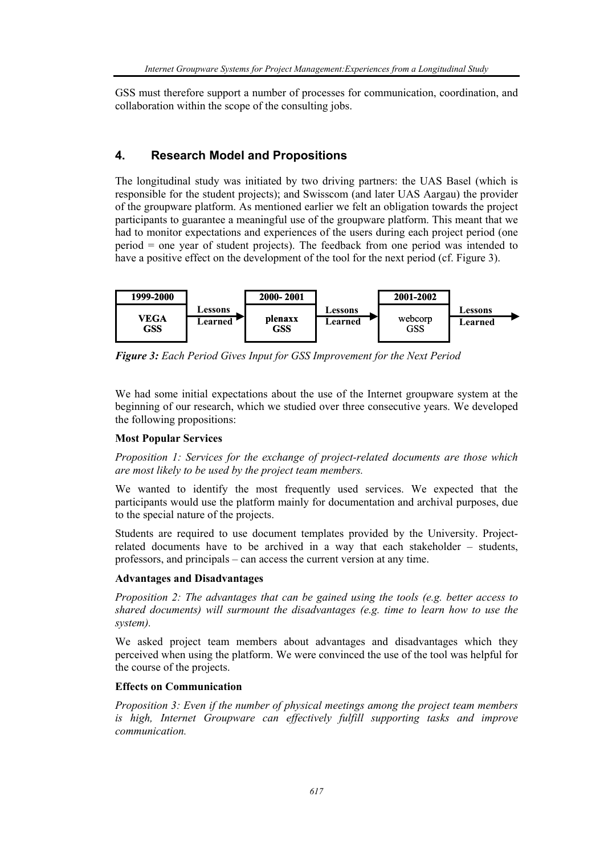GSS must therefore support a number of processes for communication, coordination, and collaboration within the scope of the consulting jobs.

# **4. Research Model and Propositions**

The longitudinal study was initiated by two driving partners: the UAS Basel (which is responsible for the student projects); and Swisscom (and later UAS Aargau) the provider of the groupware platform. As mentioned earlier we felt an obligation towards the project participants to guarantee a meaningful use of the groupware platform. This meant that we had to monitor expectations and experiences of the users during each project period (one period = one year of student projects). The feedback from one period was intended to have a positive effect on the development of the tool for the next period (cf. Figure 3).



*Figure 3: Each Period Gives Input for GSS Improvement for the Next Period* 

We had some initial expectations about the use of the Internet groupware system at the beginning of our research, which we studied over three consecutive years. We developed the following propositions:

#### **Most Popular Services**

*Proposition 1: Services for the exchange of project-related documents are those which are most likely to be used by the project team members.* 

We wanted to identify the most frequently used services. We expected that the participants would use the platform mainly for documentation and archival purposes, due to the special nature of the projects.

Students are required to use document templates provided by the University. Projectrelated documents have to be archived in a way that each stakeholder – students, professors, and principals – can access the current version at any time.

#### **Advantages and Disadvantages**

*Proposition 2: The advantages that can be gained using the tools (e.g. better access to shared documents) will surmount the disadvantages (e.g. time to learn how to use the system).*

We asked project team members about advantages and disadvantages which they perceived when using the platform. We were convinced the use of the tool was helpful for the course of the projects.

#### **Effects on Communication**

*Proposition 3: Even if the number of physical meetings among the project team members*  is high, Internet Groupware can effectively fulfill supporting tasks and improve *communication.*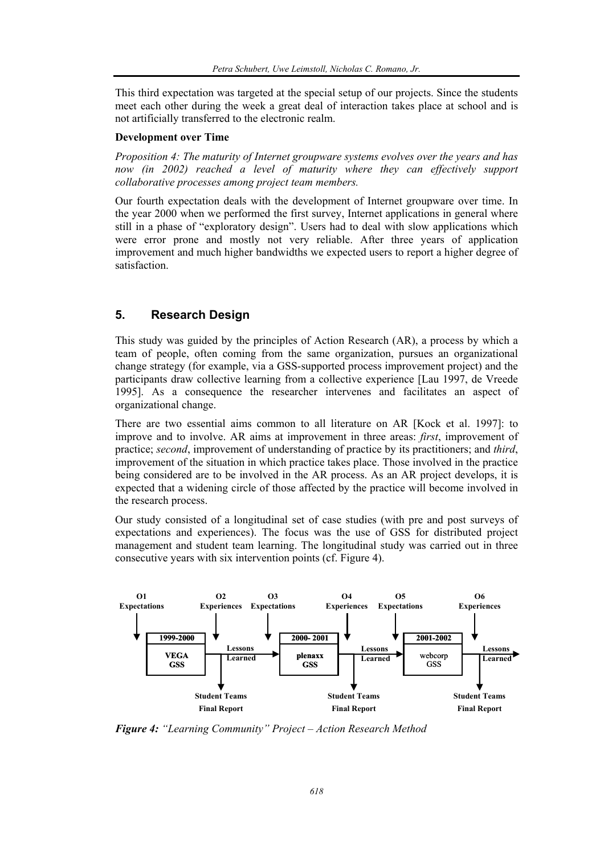This third expectation was targeted at the special setup of our projects. Since the students meet each other during the week a great deal of interaction takes place at school and is not artificially transferred to the electronic realm.

#### **Development over Time**

*Proposition 4: The maturity of Internet groupware systems evolves over the years and has*  now (in 2002) reached a level of maturity where they can effectively support *collaborative processes among project team members.* 

Our fourth expectation deals with the development of Internet groupware over time. In the year 2000 when we performed the first survey, Internet applications in general where still in a phase of "exploratory design". Users had to deal with slow applications which were error prone and mostly not very reliable. After three years of application improvement and much higher bandwidths we expected users to report a higher degree of satisfaction.

#### **5. Research Design**

This study was guided by the principles of Action Research (AR), a process by which a team of people, often coming from the same organization, pursues an organizational change strategy (for example, via a GSS-supported process improvement project) and the participants draw collective learning from a collective experience [Lau 1997, de Vreede 1995]. As a consequence the researcher intervenes and facilitates an aspect of organizational change.

There are two essential aims common to all literature on AR [Kock et al. 1997]: to improve and to involve. AR aims at improvement in three areas: *first*, improvement of practice; *second*, improvement of understanding of practice by its practitioners; and *third*, improvement of the situation in which practice takes place. Those involved in the practice being considered are to be involved in the AR process. As an AR project develops, it is expected that a widening circle of those affected by the practice will become involved in the research process.

Our study consisted of a longitudinal set of case studies (with pre and post surveys of expectations and experiences). The focus was the use of GSS for distributed project management and student team learning. The longitudinal study was carried out in three consecutive years with six intervention points (cf. Figure 4).



*Figure 4: "Learning Community" Project – Action Research Method*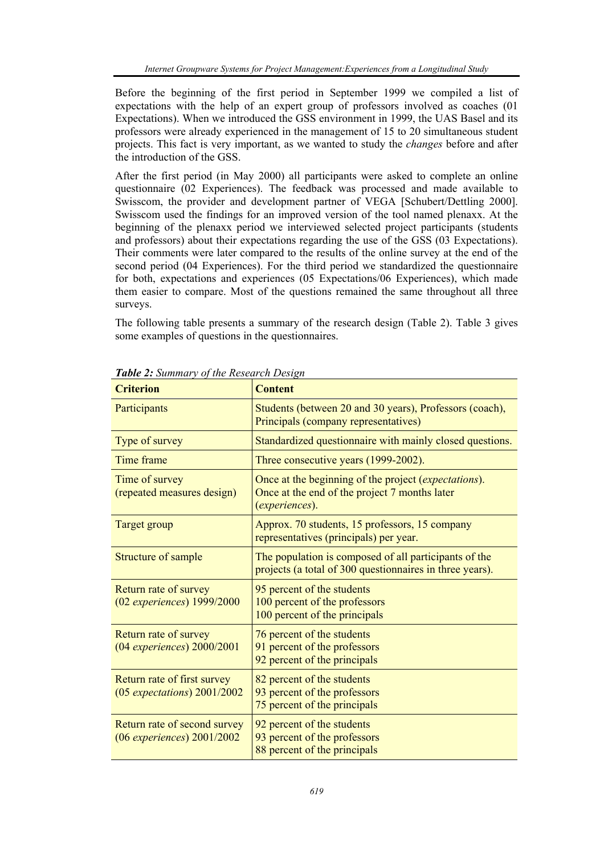Before the beginning of the first period in September 1999 we compiled a list of expectations with the help of an expert group of professors involved as coaches (01 Expectations). When we introduced the GSS environment in 1999, the UAS Basel and its professors were already experienced in the management of 15 to 20 simultaneous student projects. This fact is very important, as we wanted to study the *changes* before and after the introduction of the GSS.

After the first period (in May 2000) all participants were asked to complete an online questionnaire (02 Experiences). The feedback was processed and made available to Swisscom, the provider and development partner of VEGA [Schubert/Dettling 2000]. Swisscom used the findings for an improved version of the tool named plenaxx. At the beginning of the plenaxx period we interviewed selected project participants (students and professors) about their expectations regarding the use of the GSS (03 Expectations). Their comments were later compared to the results of the online survey at the end of the second period (04 Experiences). For the third period we standardized the questionnaire for both, expectations and experiences (05 Expectations/06 Experiences), which made them easier to compare. Most of the questions remained the same throughout all three surveys.

The following table presents a summary of the research design (Table 2). Table 3 gives some examples of questions in the questionnaires.

| <b>Criterion</b>                                               | <b>Content</b>                                                                                                                  |
|----------------------------------------------------------------|---------------------------------------------------------------------------------------------------------------------------------|
| Participants                                                   | Students (between 20 and 30 years), Professors (coach),<br>Principals (company representatives)                                 |
| Type of survey                                                 | Standardized questionnaire with mainly closed questions.                                                                        |
| Time frame                                                     | Three consecutive years (1999-2002).                                                                                            |
| Time of survey<br>(repeated measures design)                   | Once at the beginning of the project <i>(expectations)</i> .<br>Once at the end of the project 7 months later<br>(experiences). |
| <b>Target group</b>                                            | Approx. 70 students, 15 professors, 15 company<br>representatives (principals) per year.                                        |
| Structure of sample                                            | The population is composed of all participants of the<br>projects (a total of 300 questionnaires in three years).               |
| Return rate of survey<br>$(02$ experiences) 1999/2000          | 95 percent of the students<br>100 percent of the professors<br>100 percent of the principals                                    |
| Return rate of survey<br>$(04$ experiences) $2000/2001$        | 76 percent of the students<br>91 percent of the professors<br>92 percent of the principals                                      |
| Return rate of first survey<br>$(05$ expectations) $2001/2002$ | 82 percent of the students<br>93 percent of the professors<br>75 percent of the principals                                      |
| Return rate of second survey<br>$(06$ experiences) $2001/2002$ | 92 percent of the students<br>93 percent of the professors<br>88 percent of the principals                                      |

*Table 2: Summary of the Research Design*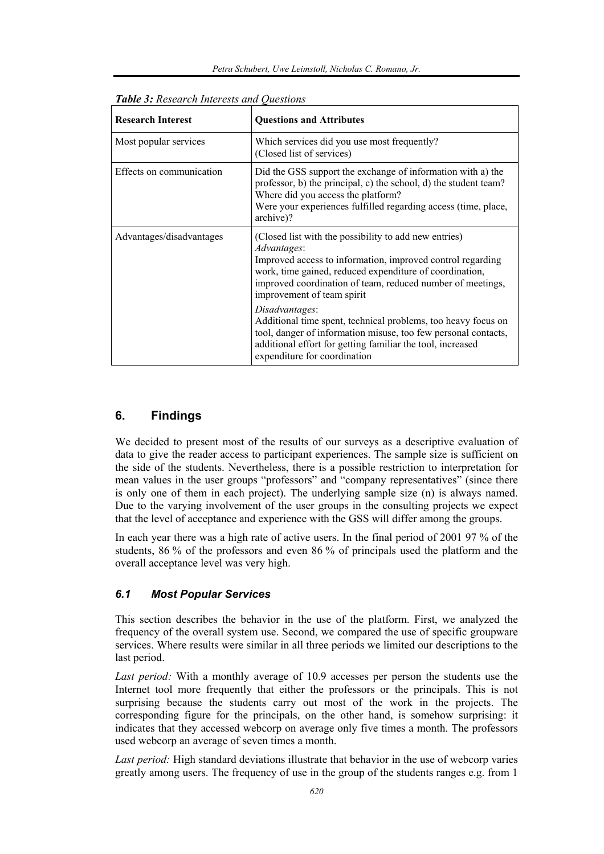| <b>Research Interest</b> | <b>Questions and Attributes</b>                                                                                                                                                                                                                                                           |
|--------------------------|-------------------------------------------------------------------------------------------------------------------------------------------------------------------------------------------------------------------------------------------------------------------------------------------|
| Most popular services    | Which services did you use most frequently?<br>(Closed list of services)                                                                                                                                                                                                                  |
| Effects on communication | Did the GSS support the exchange of information with a) the<br>professor, b) the principal, c) the school, d) the student team?<br>Where did you access the platform?<br>Were your experiences fulfilled regarding access (time, place,<br>archive)?                                      |
| Advantages/disadvantages | (Closed list with the possibility to add new entries)<br>Advantages:<br>Improved access to information, improved control regarding<br>work, time gained, reduced expenditure of coordination,<br>improved coordination of team, reduced number of meetings,<br>improvement of team spirit |
|                          | Disadvantages:<br>Additional time spent, technical problems, too heavy focus on<br>tool, danger of information misuse, too few personal contacts,<br>additional effort for getting familiar the tool, increased<br>expenditure for coordination                                           |

*Table 3: Research Interests and Questions* 

# **6. Findings**

We decided to present most of the results of our surveys as a descriptive evaluation of data to give the reader access to participant experiences. The sample size is sufficient on the side of the students. Nevertheless, there is a possible restriction to interpretation for mean values in the user groups "professors" and "company representatives" (since there is only one of them in each project). The underlying sample size (n) is always named. Due to the varying involvement of the user groups in the consulting projects we expect that the level of acceptance and experience with the GSS will differ among the groups.

In each year there was a high rate of active users. In the final period of 2001 97 % of the students, 86 % of the professors and even 86 % of principals used the platform and the overall acceptance level was very high.

# *6.1 Most Popular Services*

This section describes the behavior in the use of the platform. First, we analyzed the frequency of the overall system use. Second, we compared the use of specific groupware services. Where results were similar in all three periods we limited our descriptions to the last period.

*Last period:* With a monthly average of 10.9 accesses per person the students use the Internet tool more frequently that either the professors or the principals. This is not surprising because the students carry out most of the work in the projects. The corresponding figure for the principals, on the other hand, is somehow surprising: it indicates that they accessed webcorp on average only five times a month. The professors used webcorp an average of seven times a month.

*Last period:* High standard deviations illustrate that behavior in the use of webcorp varies greatly among users. The frequency of use in the group of the students ranges e.g. from 1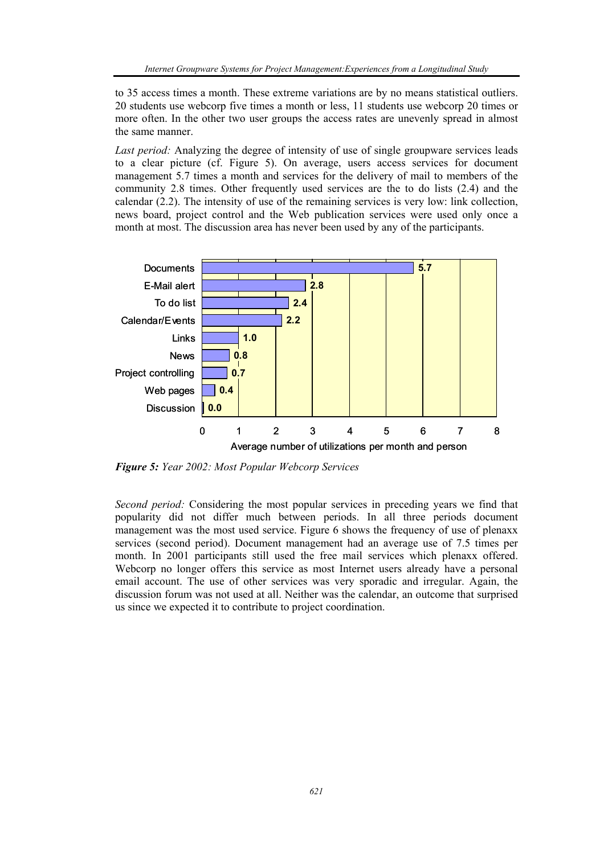to 35 access times a month. These extreme variations are by no means statistical outliers. 20 students use webcorp five times a month or less, 11 students use webcorp 20 times or more often. In the other two user groups the access rates are unevenly spread in almost the same manner.

*Last period:* Analyzing the degree of intensity of use of single groupware services leads to a clear picture (cf. Figure 5). On average, users access services for document management 5.7 times a month and services for the delivery of mail to members of the community 2.8 times. Other frequently used services are the to do lists (2.4) and the calendar (2.2). The intensity of use of the remaining services is very low: link collection, news board, project control and the Web publication services were used only once a month at most. The discussion area has never been used by any of the participants.



*Figure 5: Year 2002: Most Popular Webcorp Services* 

*Second period:* Considering the most popular services in preceding years we find that popularity did not differ much between periods. In all three periods document management was the most used service. Figure 6 shows the frequency of use of plenaxx services (second period). Document management had an average use of 7.5 times per month. In 2001 participants still used the free mail services which plenaxx offered. Webcorp no longer offers this service as most Internet users already have a personal email account. The use of other services was very sporadic and irregular. Again, the discussion forum was not used at all. Neither was the calendar, an outcome that surprised us since we expected it to contribute to project coordination.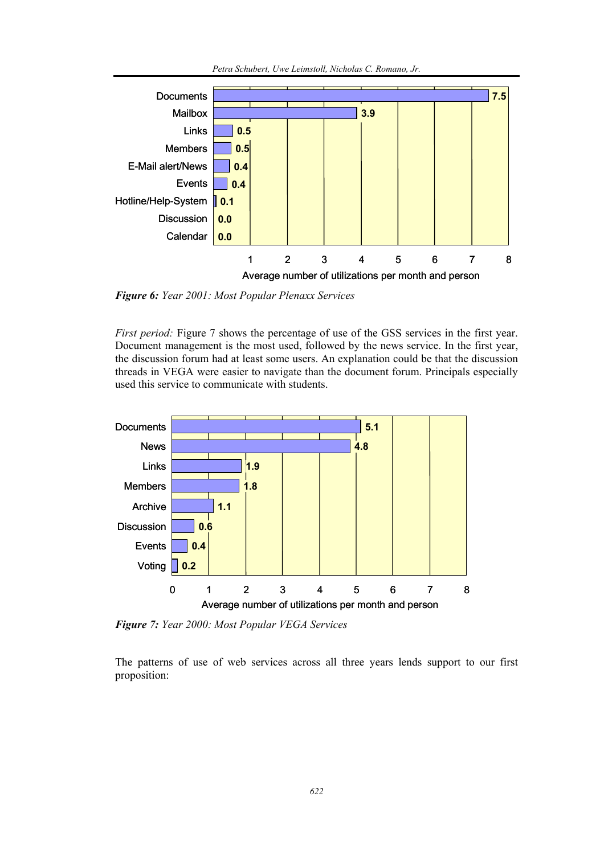

*Figure 6: Year 2001: Most Popular Plenaxx Services* 

*First period:* Figure 7 shows the percentage of use of the GSS services in the first year. Document management is the most used, followed by the news service. In the first year, the discussion forum had at least some users. An explanation could be that the discussion threads in VEGA were easier to navigate than the document forum. Principals especially used this service to communicate with students.

12345678

Average number of utilizations per month and person



*Figure 7: Year 2000: Most Popular VEGA Services* 

The patterns of use of web services across all three years lends support to our first proposition: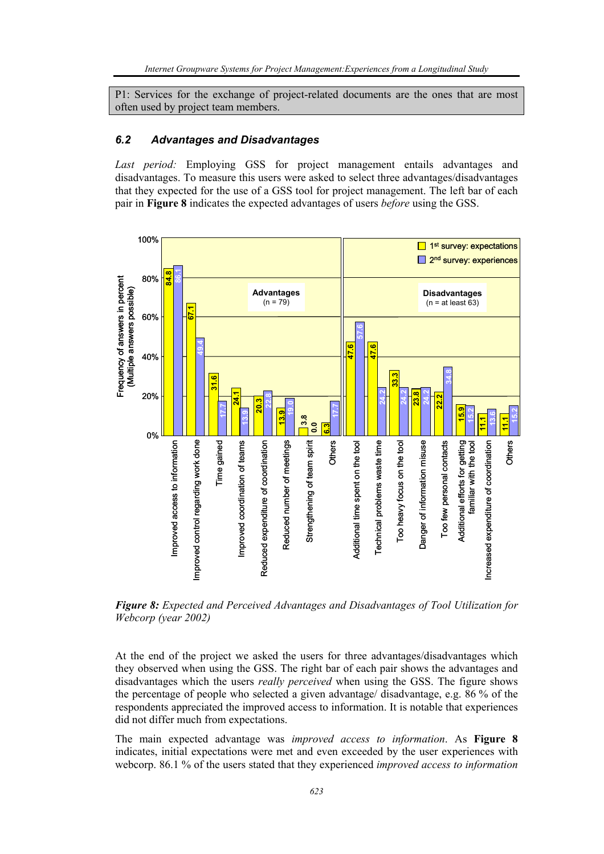P1: Services for the exchange of project-related documents are the ones that are most often used by project team members.

#### *6.2 Advantages and Disadvantages*

*Last period:* Employing GSS for project management entails advantages and disadvantages. To measure this users were asked to select three advantages/disadvantages that they expected for the use of a GSS tool for project management. The left bar of each pair in **Figure 8** indicates the expected advantages of users *before* using the GSS.



*Figure 8: Expected and Perceived Advantages and Disadvantages of Tool Utilization for Webcorp (year 2002)* 

At the end of the project we asked the users for three advantages/disadvantages which they observed when using the GSS. The right bar of each pair shows the advantages and disadvantages which the users *really perceived* when using the GSS. The figure shows the percentage of people who selected a given advantage/ disadvantage, e.g. 86 % of the respondents appreciated the improved access to information. It is notable that experiences did not differ much from expectations.

The main expected advantage was *improved access to information*. As **Figure 8** indicates, initial expectations were met and even exceeded by the user experiences with webcorp. 86.1 % of the users stated that they experienced *improved access to information*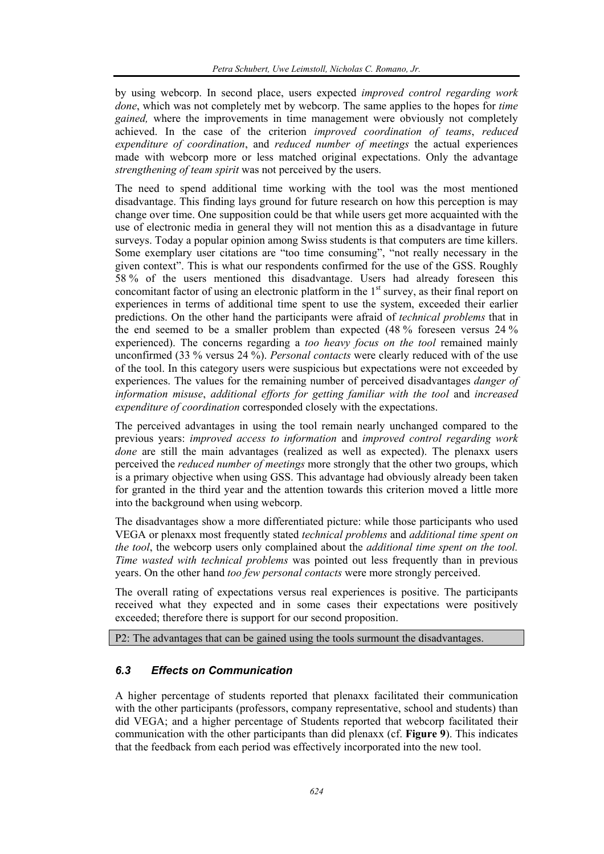by using webcorp. In second place, users expected *improved control regarding work done*, which was not completely met by webcorp. The same applies to the hopes for *time gained,* where the improvements in time management were obviously not completely achieved. In the case of the criterion *improved coordination of teams*, *reduced expenditure of coordination*, and *reduced number of meetings* the actual experiences made with webcorp more or less matched original expectations. Only the advantage *strengthening of team spirit* was not perceived by the users.

The need to spend additional time working with the tool was the most mentioned disadvantage. This finding lays ground for future research on how this perception is may change over time. One supposition could be that while users get more acquainted with the use of electronic media in general they will not mention this as a disadvantage in future surveys. Today a popular opinion among Swiss students is that computers are time killers. Some exemplary user citations are "too time consuming", "not really necessary in the given context". This is what our respondents confirmed for the use of the GSS. Roughly 58 % of the users mentioned this disadvantage. Users had already foreseen this concomitant factor of using an electronic platform in the  $1<sup>st</sup>$  survey, as their final report on experiences in terms of additional time spent to use the system, exceeded their earlier predictions. On the other hand the participants were afraid of *technical problems* that in the end seemed to be a smaller problem than expected (48 % foreseen versus 24 % experienced). The concerns regarding a *too heavy focus on the tool* remained mainly unconfirmed (33 % versus 24 %). *Personal contacts* were clearly reduced with of the use of the tool. In this category users were suspicious but expectations were not exceeded by experiences. The values for the remaining number of perceived disadvantages *danger of information misuse*, *additional efforts for getting familiar with the tool* and *increased expenditure of coordination* corresponded closely with the expectations.

The perceived advantages in using the tool remain nearly unchanged compared to the previous years: *improved access to information* and *improved control regarding work done* are still the main advantages (realized as well as expected). The plenaxx users perceived the *reduced number of meetings* more strongly that the other two groups, which is a primary objective when using GSS. This advantage had obviously already been taken for granted in the third year and the attention towards this criterion moved a little more into the background when using webcorp.

The disadvantages show a more differentiated picture: while those participants who used VEGA or plenaxx most frequently stated *technical problems* and *additional time spent on the tool*, the webcorp users only complained about the *additional time spent on the tool. Time wasted with technical problems* was pointed out less frequently than in previous years. On the other hand *too few personal contacts* were more strongly perceived.

The overall rating of expectations versus real experiences is positive. The participants received what they expected and in some cases their expectations were positively exceeded; therefore there is support for our second proposition.

P2: The advantages that can be gained using the tools surmount the disadvantages.

# *6.3 Effects on Communication*

A higher percentage of students reported that plenaxx facilitated their communication with the other participants (professors, company representative, school and students) than did VEGA; and a higher percentage of Students reported that webcorp facilitated their communication with the other participants than did plenaxx (cf. **Figure 9**). This indicates that the feedback from each period was effectively incorporated into the new tool.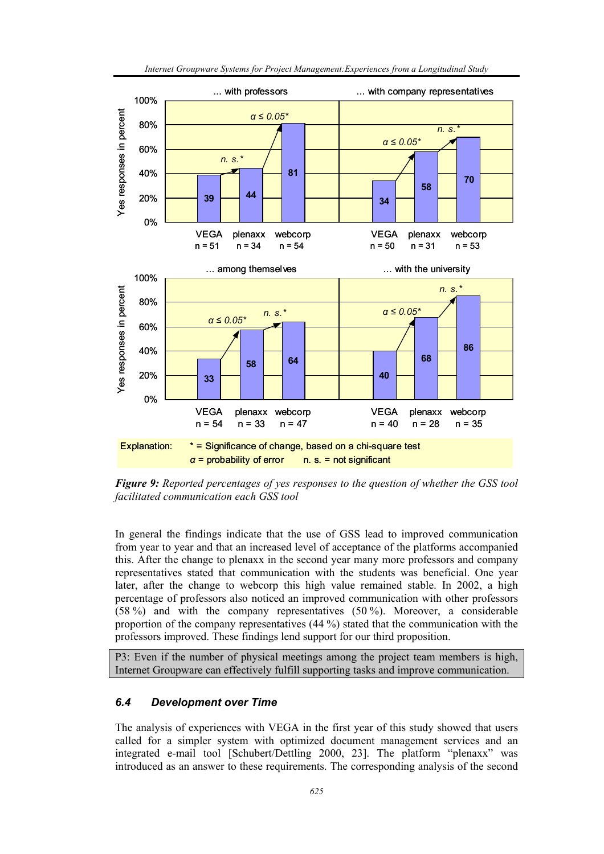

*Internet Groupware Systems for Project Management:Experiences from a Longitudinal Study* 

*Figure 9: Reported percentages of yes responses to the question of whether the GSS tool facilitated communication each GSS tool* 

In general the findings indicate that the use of GSS lead to improved communication from year to year and that an increased level of acceptance of the platforms accompanied this. After the change to plenaxx in the second year many more professors and company representatives stated that communication with the students was beneficial. One year later, after the change to webcorp this high value remained stable. In 2002, a high percentage of professors also noticed an improved communication with other professors (58 %) and with the company representatives (50 %). Moreover, a considerable proportion of the company representatives (44 %) stated that the communication with the professors improved. These findings lend support for our third proposition.

P3: Even if the number of physical meetings among the project team members is high, Internet Groupware can effectively fulfill supporting tasks and improve communication.

#### *6.4 Development over Time*

The analysis of experiences with VEGA in the first year of this study showed that users called for a simpler system with optimized document management services and an integrated e-mail tool [Schubert/Dettling 2000, 23]. The platform "plenaxx" was introduced as an answer to these requirements. The corresponding analysis of the second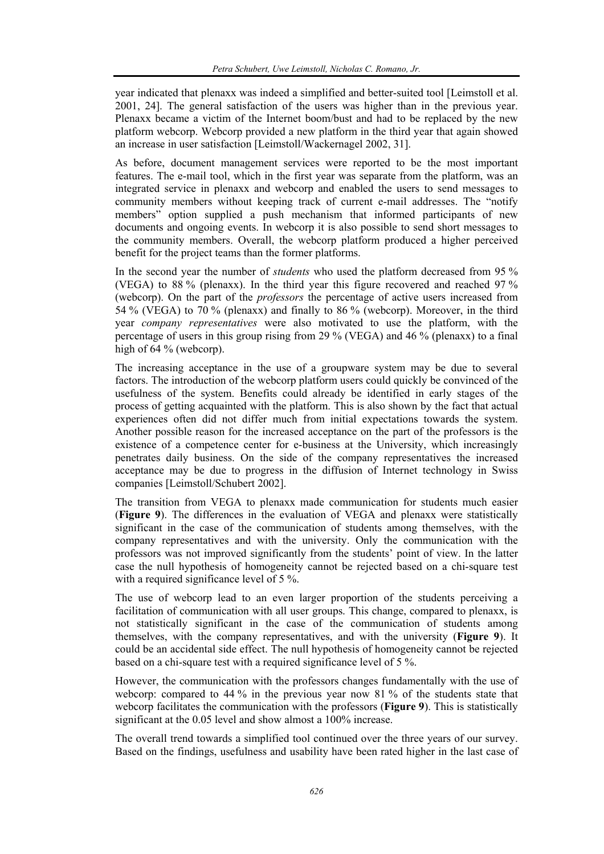year indicated that plenaxx was indeed a simplified and better-suited tool [Leimstoll et al. 2001, 24]. The general satisfaction of the users was higher than in the previous year. Plenaxx became a victim of the Internet boom/bust and had to be replaced by the new platform webcorp. Webcorp provided a new platform in the third year that again showed an increase in user satisfaction [Leimstoll/Wackernagel 2002, 31].

As before, document management services were reported to be the most important features. The e-mail tool, which in the first year was separate from the platform, was an integrated service in plenaxx and webcorp and enabled the users to send messages to community members without keeping track of current e-mail addresses. The "notify members" option supplied a push mechanism that informed participants of new documents and ongoing events. In webcorp it is also possible to send short messages to the community members. Overall, the webcorp platform produced a higher perceived benefit for the project teams than the former platforms.

In the second year the number of *students* who used the platform decreased from 95 % (VEGA) to 88 % (plenaxx). In the third year this figure recovered and reached 97 % (webcorp). On the part of the *professors* the percentage of active users increased from 54 % (VEGA) to 70 % (plenaxx) and finally to 86 % (webcorp). Moreover, in the third year *company representatives* were also motivated to use the platform, with the percentage of users in this group rising from 29 % (VEGA) and 46 % (plenaxx) to a final high of 64 % (webcorp).

The increasing acceptance in the use of a groupware system may be due to several factors. The introduction of the webcorp platform users could quickly be convinced of the usefulness of the system. Benefits could already be identified in early stages of the process of getting acquainted with the platform. This is also shown by the fact that actual experiences often did not differ much from initial expectations towards the system. Another possible reason for the increased acceptance on the part of the professors is the existence of a competence center for e-business at the University, which increasingly penetrates daily business. On the side of the company representatives the increased acceptance may be due to progress in the diffusion of Internet technology in Swiss companies [Leimstoll/Schubert 2002].

The transition from VEGA to plenaxx made communication for students much easier (**Figure 9**). The differences in the evaluation of VEGA and plenaxx were statistically significant in the case of the communication of students among themselves, with the company representatives and with the university. Only the communication with the professors was not improved significantly from the students' point of view. In the latter case the null hypothesis of homogeneity cannot be rejected based on a chi-square test with a required significance level of 5 %.

The use of webcorp lead to an even larger proportion of the students perceiving a facilitation of communication with all user groups. This change, compared to plenaxx, is not statistically significant in the case of the communication of students among themselves, with the company representatives, and with the university (**Figure 9**). It could be an accidental side effect. The null hypothesis of homogeneity cannot be rejected based on a chi-square test with a required significance level of 5 %.

However, the communication with the professors changes fundamentally with the use of webcorp: compared to 44 % in the previous year now 81 % of the students state that webcorp facilitates the communication with the professors (**Figure 9**). This is statistically significant at the 0.05 level and show almost a 100% increase.

The overall trend towards a simplified tool continued over the three years of our survey. Based on the findings, usefulness and usability have been rated higher in the last case of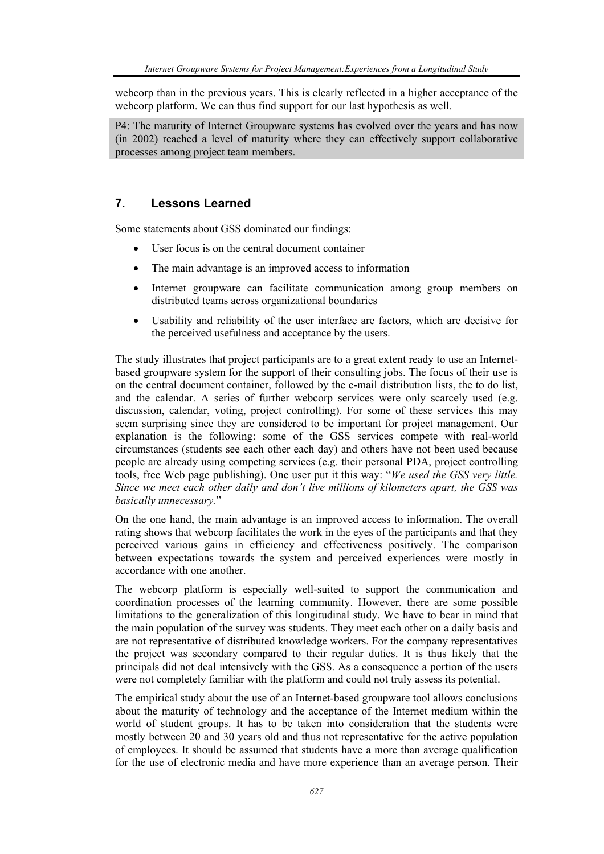webcorp than in the previous years. This is clearly reflected in a higher acceptance of the webcorp platform. We can thus find support for our last hypothesis as well.

P4: The maturity of Internet Groupware systems has evolved over the years and has now (in 2002) reached a level of maturity where they can effectively support collaborative processes among project team members.

# **7. Lessons Learned**

Some statements about GSS dominated our findings:

- User focus is on the central document container
- The main advantage is an improved access to information
- Internet groupware can facilitate communication among group members on distributed teams across organizational boundaries
- Usability and reliability of the user interface are factors, which are decisive for the perceived usefulness and acceptance by the users.

The study illustrates that project participants are to a great extent ready to use an Internetbased groupware system for the support of their consulting jobs. The focus of their use is on the central document container, followed by the e-mail distribution lists, the to do list, and the calendar. A series of further webcorp services were only scarcely used (e.g. discussion, calendar, voting, project controlling). For some of these services this may seem surprising since they are considered to be important for project management. Our explanation is the following: some of the GSS services compete with real-world circumstances (students see each other each day) and others have not been used because people are already using competing services (e.g. their personal PDA, project controlling tools, free Web page publishing). One user put it this way: "*We used the GSS very little. Since we meet each other daily and don't live millions of kilometers apart, the GSS was basically unnecessary.*"

On the one hand, the main advantage is an improved access to information. The overall rating shows that webcorp facilitates the work in the eyes of the participants and that they perceived various gains in efficiency and effectiveness positively. The comparison between expectations towards the system and perceived experiences were mostly in accordance with one another.

The webcorp platform is especially well-suited to support the communication and coordination processes of the learning community. However, there are some possible limitations to the generalization of this longitudinal study. We have to bear in mind that the main population of the survey was students. They meet each other on a daily basis and are not representative of distributed knowledge workers. For the company representatives the project was secondary compared to their regular duties. It is thus likely that the principals did not deal intensively with the GSS. As a consequence a portion of the users were not completely familiar with the platform and could not truly assess its potential.

The empirical study about the use of an Internet-based groupware tool allows conclusions about the maturity of technology and the acceptance of the Internet medium within the world of student groups. It has to be taken into consideration that the students were mostly between 20 and 30 years old and thus not representative for the active population of employees. It should be assumed that students have a more than average qualification for the use of electronic media and have more experience than an average person. Their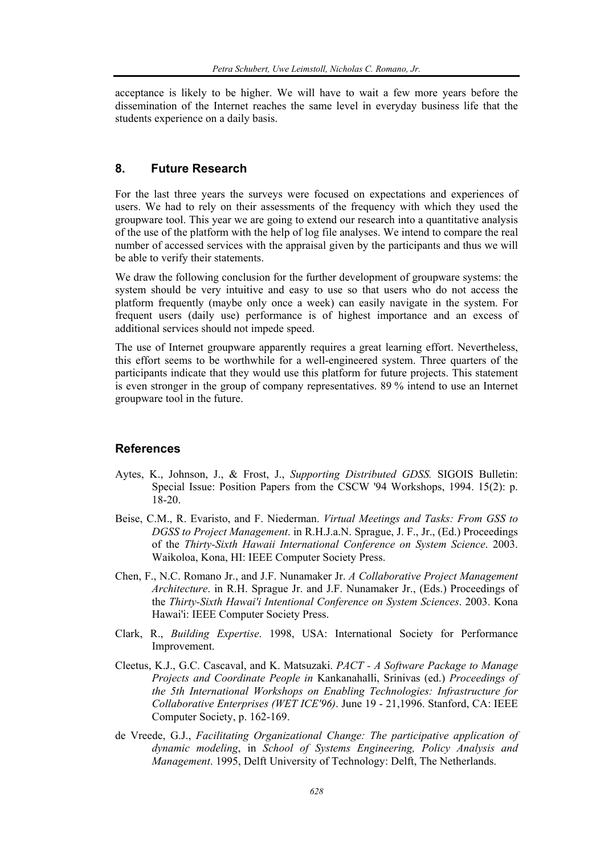acceptance is likely to be higher. We will have to wait a few more years before the dissemination of the Internet reaches the same level in everyday business life that the students experience on a daily basis.

# **8. Future Research**

For the last three years the surveys were focused on expectations and experiences of users. We had to rely on their assessments of the frequency with which they used the groupware tool. This year we are going to extend our research into a quantitative analysis of the use of the platform with the help of log file analyses. We intend to compare the real number of accessed services with the appraisal given by the participants and thus we will be able to verify their statements.

We draw the following conclusion for the further development of groupware systems: the system should be very intuitive and easy to use so that users who do not access the platform frequently (maybe only once a week) can easily navigate in the system. For frequent users (daily use) performance is of highest importance and an excess of additional services should not impede speed.

The use of Internet groupware apparently requires a great learning effort. Nevertheless, this effort seems to be worthwhile for a well-engineered system. Three quarters of the participants indicate that they would use this platform for future projects. This statement is even stronger in the group of company representatives. 89 % intend to use an Internet groupware tool in the future.

#### **References**

- Aytes, K., Johnson, J., & Frost, J., *Supporting Distributed GDSS.* SIGOIS Bulletin: Special Issue: Position Papers from the CSCW '94 Workshops, 1994. 15(2): p. 18-20.
- Beise, C.M., R. Evaristo, and F. Niederman. *Virtual Meetings and Tasks: From GSS to DGSS to Project Management*. in R.H.J.a.N. Sprague, J. F., Jr., (Ed.) Proceedings of the *Thirty-Sixth Hawaii International Conference on System Science*. 2003. Waikoloa, Kona, HI: IEEE Computer Society Press.
- Chen, F., N.C. Romano Jr., and J.F. Nunamaker Jr. *A Collaborative Project Management Architecture*. in R.H. Sprague Jr. and J.F. Nunamaker Jr., (Eds.) Proceedings of the *Thirty-Sixth Hawai'i Intentional Conference on System Sciences*. 2003. Kona Hawai'i: IEEE Computer Society Press.
- Clark, R., *Building Expertise*. 1998, USA: International Society for Performance Improvement.
- Cleetus, K.J., G.C. Cascaval, and K. Matsuzaki. *PACT A Software Package to Manage Projects and Coordinate People in* Kankanahalli, Srinivas (ed.) *Proceedings of the 5th International Workshops on Enabling Technologies: Infrastructure for Collaborative Enterprises (WET ICE'96)*. June 19 - 21,1996. Stanford, CA: IEEE Computer Society, p. 162-169.
- de Vreede, G.J., *Facilitating Organizational Change: The participative application of dynamic modeling*, in *School of Systems Engineering, Policy Analysis and Management*. 1995, Delft University of Technology: Delft, The Netherlands.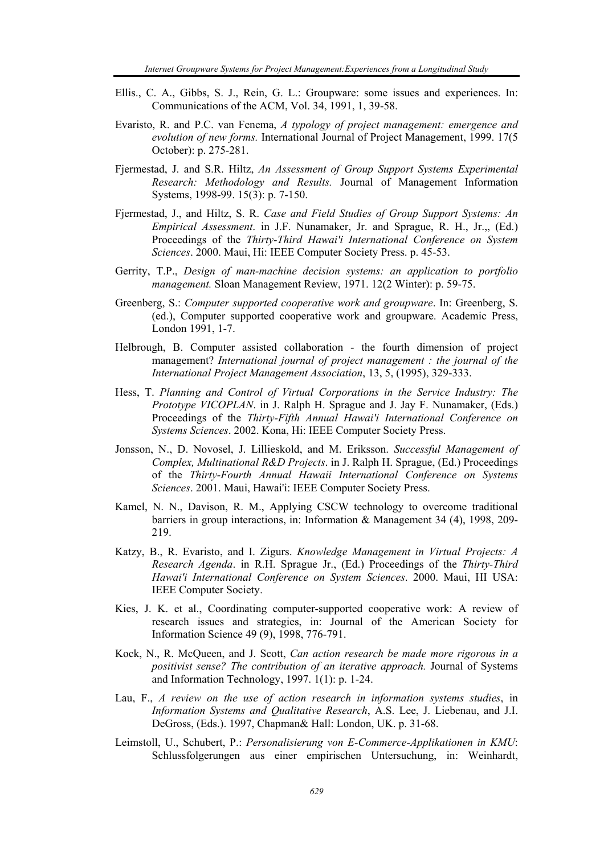- Ellis., C. A., Gibbs, S. J., Rein, G. L.: Groupware: some issues and experiences. In: Communications of the ACM, Vol. 34, 1991, 1, 39-58.
- Evaristo, R. and P.C. van Fenema, *A typology of project management: emergence and evolution of new forms.* International Journal of Project Management, 1999. 17(5 October): p. 275-281.
- Fjermestad, J. and S.R. Hiltz, *An Assessment of Group Support Systems Experimental Research: Methodology and Results.* Journal of Management Information Systems, 1998-99. 15(3): p. 7-150.
- Fjermestad, J., and Hiltz, S. R. *Case and Field Studies of Group Support Systems: An Empirical Assessment*. in J.F. Nunamaker, Jr. and Sprague, R. H., Jr.,, (Ed.) Proceedings of the *Thirty-Third Hawai'i International Conference on System Sciences*. 2000. Maui, Hi: IEEE Computer Society Press. p. 45-53.
- Gerrity, T.P., *Design of man-machine decision systems: an application to portfolio management.* Sloan Management Review, 1971. 12(2 Winter): p. 59-75.
- Greenberg, S.: *Computer supported cooperative work and groupware*. In: Greenberg, S. (ed.), Computer supported cooperative work and groupware. Academic Press, London 1991, 1-7.
- Helbrough, B. Computer assisted collaboration the fourth dimension of project management? *International journal of project management : the journal of the International Project Management Association*, 13, 5, (1995), 329-333.
- Hess, T. *Planning and Control of Virtual Corporations in the Service Industry: The Prototype VICOPLAN*. in J. Ralph H. Sprague and J. Jay F. Nunamaker, (Eds.) Proceedings of the *Thirty-Fifth Annual Hawai'i International Conference on Systems Sciences*. 2002. Kona, Hi: IEEE Computer Society Press.
- Jonsson, N., D. Novosel, J. Lillieskold, and M. Eriksson. *Successful Management of Complex, Multinational R&D Projects*. in J. Ralph H. Sprague, (Ed.) Proceedings of the *Thirty-Fourth Annual Hawaii International Conference on Systems Sciences*. 2001. Maui, Hawai'i: IEEE Computer Society Press.
- Kamel, N. N., Davison, R. M., Applying CSCW technology to overcome traditional barriers in group interactions, in: Information & Management 34 (4), 1998, 209- 219.
- Katzy, B., R. Evaristo, and I. Zigurs. *Knowledge Management in Virtual Projects: A Research Agenda*. in R.H. Sprague Jr., (Ed.) Proceedings of the *Thirty-Third Hawai'i International Conference on System Sciences*. 2000. Maui, HI USA: IEEE Computer Society.
- Kies, J. K. et al., Coordinating computer-supported cooperative work: A review of research issues and strategies, in: Journal of the American Society for Information Science 49 (9), 1998, 776-791.
- Kock, N., R. McQueen, and J. Scott, *Can action research be made more rigorous in a positivist sense? The contribution of an iterative approach.* Journal of Systems and Information Technology, 1997. 1(1): p. 1-24.
- Lau, F., *A review on the use of action research in information systems studies*, in *Information Systems and Qualitative Research*, A.S. Lee, J. Liebenau, and J.I. DeGross, (Eds.). 1997, Chapman& Hall: London, UK. p. 31-68.
- Leimstoll, U., Schubert, P.: *Personalisierung von E-Commerce-Applikationen in KMU*: Schlussfolgerungen aus einer empirischen Untersuchung, in: Weinhardt,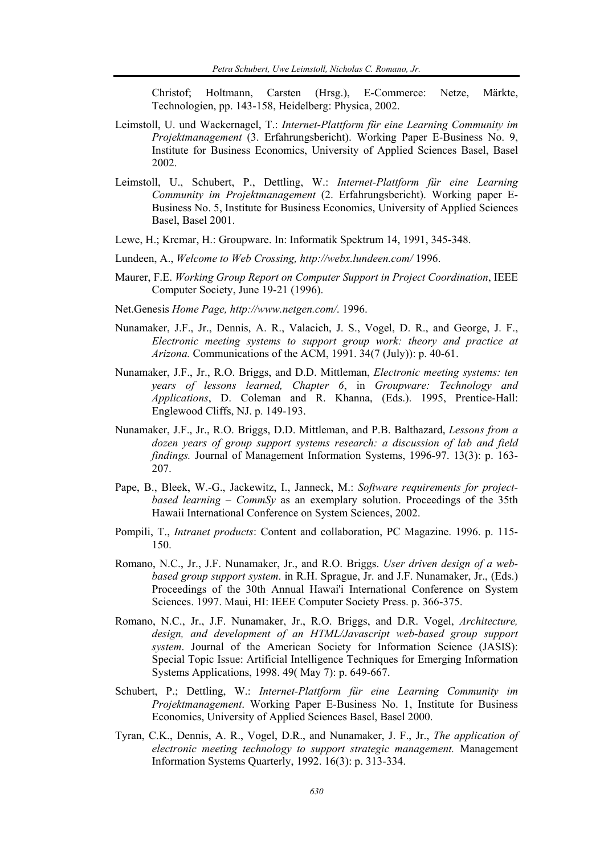Christof; Holtmann, Carsten (Hrsg.), E-Commerce: Netze, Märkte, Technologien, pp. 143-158, Heidelberg: Physica, 2002.

- Leimstoll, U. und Wackernagel, T.: *Internet-Plattform für eine Learning Community im Projektmanagement* (3. Erfahrungsbericht). Working Paper E-Business No. 9, Institute for Business Economics, University of Applied Sciences Basel, Basel 2002.
- Leimstoll, U., Schubert, P., Dettling, W.: *Internet-Plattform für eine Learning Community im Projektmanagement* (2. Erfahrungsbericht). Working paper E-Business No. 5, Institute for Business Economics, University of Applied Sciences Basel, Basel 2001.
- Lewe, H.; Krcmar, H.: Groupware. In: Informatik Spektrum 14, 1991, 345-348.
- Lundeen, A., *Welcome to Web Crossing, http://webx.lundeen.com/* 1996.
- Maurer, F.E. *Working Group Report on Computer Support in Project Coordination*, IEEE Computer Society, June 19-21 (1996).
- Net.Genesis *Home Page, http://www.netgen.com/*. 1996.
- Nunamaker, J.F., Jr., Dennis, A. R., Valacich, J. S., Vogel, D. R., and George, J. F., *Electronic meeting systems to support group work: theory and practice at Arizona.* Communications of the ACM, 1991. 34(7 (July)): p. 40-61.
- Nunamaker, J.F., Jr., R.O. Briggs, and D.D. Mittleman, *Electronic meeting systems: ten years of lessons learned, Chapter 6*, in *Groupware: Technology and Applications*, D. Coleman and R. Khanna, (Eds.). 1995, Prentice-Hall: Englewood Cliffs, NJ. p. 149-193.
- Nunamaker, J.F., Jr., R.O. Briggs, D.D. Mittleman, and P.B. Balthazard, *Lessons from a dozen years of group support systems research: a discussion of lab and field findings.* Journal of Management Information Systems, 1996-97. 13(3): p. 163- 207.
- Pape, B., Bleek, W.-G., Jackewitz, I., Janneck, M.: *Software requirements for projectbased learning* – *CommSy* as an exemplary solution. Proceedings of the 35th Hawaii International Conference on System Sciences, 2002.
- Pompili, T., *Intranet products*: Content and collaboration, PC Magazine. 1996. p. 115- 150.
- Romano, N.C., Jr., J.F. Nunamaker, Jr., and R.O. Briggs. *User driven design of a webbased group support system*. in R.H. Sprague, Jr. and J.F. Nunamaker, Jr., (Eds.) Proceedings of the 30th Annual Hawai'i International Conference on System Sciences. 1997. Maui, HI: IEEE Computer Society Press. p. 366-375.
- Romano, N.C., Jr., J.F. Nunamaker, Jr., R.O. Briggs, and D.R. Vogel, *Architecture, design, and development of an HTML/Javascript web-based group support system*. Journal of the American Society for Information Science (JASIS): Special Topic Issue: Artificial Intelligence Techniques for Emerging Information Systems Applications, 1998. 49( May 7): p. 649-667.
- Schubert, P.; Dettling, W.: *Internet-Plattform für eine Learning Community im Projektmanagement*. Working Paper E-Business No. 1, Institute for Business Economics, University of Applied Sciences Basel, Basel 2000.
- Tyran, C.K., Dennis, A. R., Vogel, D.R., and Nunamaker, J. F., Jr., *The application of electronic meeting technology to support strategic management.* Management Information Systems Quarterly, 1992. 16(3): p. 313-334.